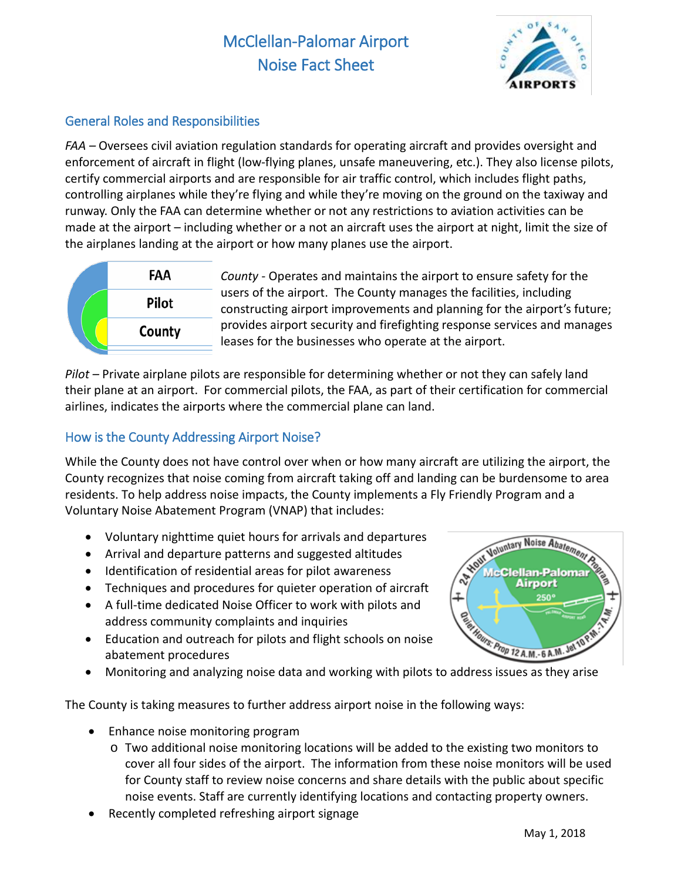# McClellan-Palomar Airport Noise Fact Sheet



# General Roles and Responsibilities

*FAA –* Oversees civil aviation regulation standards for operating aircraft and provides oversight and enforcement of aircraft in flight (low-flying planes, unsafe maneuvering, etc.). They also license pilots, certify commercial airports and are responsible for air traffic control, which includes flight paths, controlling airplanes while they're flying and while they're moving on the ground on the taxiway and runway. Only the FAA can determine whether or not any restrictions to aviation activities can be made at the airport – including whether or a not an aircraft uses the airport at night, limit the size of the airplanes landing at the airport or how many planes use the airport.



*County -* Operates and maintains the airport to ensure safety for the users of the airport. The County manages the facilities, including constructing airport improvements and planning for the airport's future; provides airport security and firefighting response services and manages leases for the businesses who operate at the airport.

*Pilot –* Private airplane pilots are responsible for determining whether or not they can safely land their plane at an airport. For commercial pilots, the FAA, as part of their certification for commercial airlines, indicates the airports where the commercial plane can land.

## How is the County Addressing Airport Noise?

While the County does not have control over when or how many aircraft are utilizing the airport, the County recognizes that noise coming from aircraft taking off and landing can be burdensome to area residents. To help address noise impacts, the County implements a Fly Friendly Program and a Voluntary Noise Abatement Program (VNAP) that includes:

- Voluntary nighttime quiet hours for arrivals and departures
- Arrival and departure patterns and suggested altitudes
- Identification of residential areas for pilot awareness
- Techniques and procedures for quieter operation of aircraft
- A full-time dedicated Noise Officer to work with pilots and address community complaints and inquiries
- Education and outreach for pilots and flight schools on noise abatement procedures ddress community complaints and inquiries<br>
• Education and outreach for pilots and flight schools on noise<br>
• Monitoring and analyzing noise data and working with pilots to address issues as they arise
- 

The County is taking measures to further address airport noise in the following ways:

- Enhance noise monitoring program
	- $\circ$  Two additional noise monitoring locations will be added to the existing two monitors to cover all four sides of the airport. The information from these noise monitors will be used for County staff to review noise concerns and share details with the public about specific noise events. Staff are currently identifying locations and contacting property owners.
- Recently completed refreshing airport signage